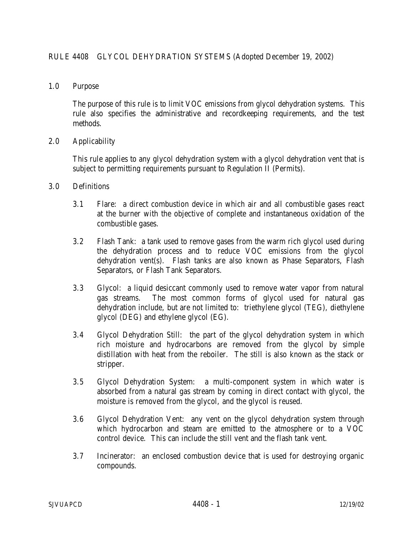1.0 Purpose

The purpose of this rule is to limit VOC emissions from glycol dehydration systems. This rule also specifies the administrative and recordkeeping requirements, and the test methods.

2.0 Applicability

This rule applies to any glycol dehydration system with a glycol dehydration vent that is subject to permitting requirements pursuant to Regulation II (Permits).

- 3.0 Definitions
	- 3.1 Flare: a direct combustion device in which air and all combustible gases react at the burner with the objective of complete and instantaneous oxidation of the combustible gases.
	- 3.2 Flash Tank: a tank used to remove gases from the warm rich glycol used during the dehydration process and to reduce VOC emissions from the glycol dehydration vent(s). Flash tanks are also known as Phase Separators, Flash Separators, or Flash Tank Separators.
	- 3.3 Glycol: a liquid desiccant commonly used to remove water vapor from natural gas streams. The most common forms of glycol used for natural gas dehydration include, but are not limited to: triethylene glycol (TEG), diethylene glycol (DEG) and ethylene glycol (EG).
	- 3.4 Glycol Dehydration Still: the part of the glycol dehydration system in which rich moisture and hydrocarbons are removed from the glycol by simple distillation with heat from the reboiler. The still is also known as the stack or stripper.
	- 3.5 Glycol Dehydration System: a multi-component system in which water is absorbed from a natural gas stream by coming in direct contact with glycol, the moisture is removed from the glycol, and the glycol is reused.
	- 3.6 Glycol Dehydration Vent: any vent on the glycol dehydration system through which hydrocarbon and steam are emitted to the atmosphere or to a VOC control device. This can include the still vent and the flash tank vent.
	- 3.7 Incinerator: an enclosed combustion device that is used for destroying organic compounds.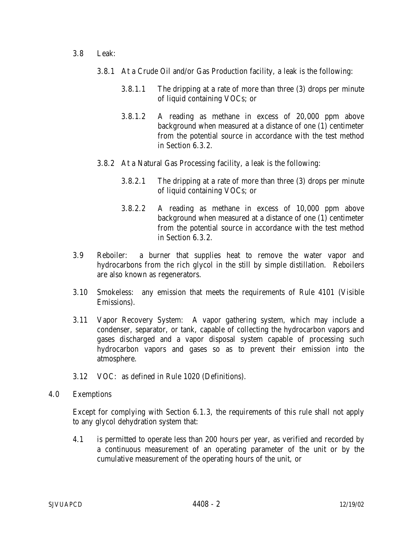- 3.8 Leak:
	- 3.8.1 At a Crude Oil and/or Gas Production facility, a leak is the following:
		- 3.8.1.1 The dripping at a rate of more than three (3) drops per minute of liquid containing VOCs; or
		- 3.8.1.2 A reading as methane in excess of 20,000 ppm above background when measured at a distance of one (1) centimeter from the potential source in accordance with the test method in Section 6.3.2.
	- 3.8.2 At a Natural Gas Processing facility, a leak is the following:
		- 3.8.2.1 The dripping at a rate of more than three (3) drops per minute of liquid containing VOCs; or
		- 3.8.2.2 A reading as methane in excess of 10,000 ppm above background when measured at a distance of one (1) centimeter from the potential source in accordance with the test method in Section 6.3.2.
- 3.9 Reboiler: a burner that supplies heat to remove the water vapor and hydrocarbons from the rich glycol in the still by simple distillation. Reboilers are also known as regenerators.
- 3.10 Smokeless: any emission that meets the requirements of Rule 4101 (Visible Emissions).
- 3.11 Vapor Recovery System: A vapor gathering system, which may include a condenser, separator, or tank, capable of collecting the hydrocarbon vapors and gases discharged and a vapor disposal system capable of processing such hydrocarbon vapors and gases so as to prevent their emission into the atmosphere.
- 3.12 VOC: as defined in Rule 1020 (Definitions).
- 4.0 Exemptions

Except for complying with Section 6.1.3, the requirements of this rule shall not apply to any glycol dehydration system that:

4.1 is permitted to operate less than 200 hours per year, as verified and recorded by a continuous measurement of an operating parameter of the unit or by the cumulative measurement of the operating hours of the unit, or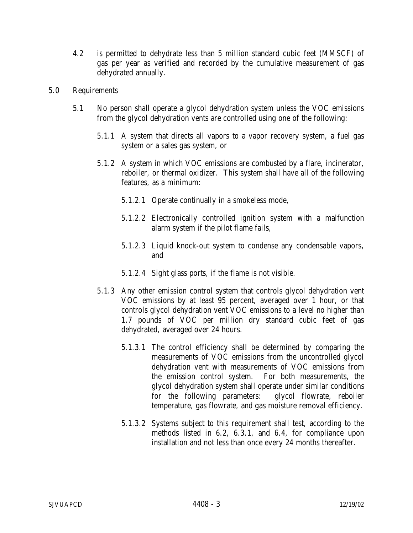- 4.2 is permitted to dehydrate less than 5 million standard cubic feet (MMSCF) of gas per year as verified and recorded by the cumulative measurement of gas dehydrated annually.
- 5.0 Requirements
	- 5.1 No person shall operate a glycol dehydration system unless the VOC emissions from the glycol dehydration vents are controlled using one of the following:
		- 5.1.1 A system that directs all vapors to a vapor recovery system, a fuel gas system or a sales gas system, or
		- 5.1.2 A system in which VOC emissions are combusted by a flare, incinerator, reboiler, or thermal oxidizer. This system shall have all of the following features, as a minimum:
			- 5.1.2.1 Operate continually in a smokeless mode,
			- 5.1.2.2 Electronically controlled ignition system with a malfunction alarm system if the pilot flame fails,
			- 5.1.2.3 Liquid knock-out system to condense any condensable vapors, and
			- 5.1.2.4 Sight glass ports, if the flame is not visible.
		- 5.1.3 Any other emission control system that controls glycol dehydration vent VOC emissions by at least 95 percent, averaged over 1 hour, or that controls glycol dehydration vent VOC emissions to a level no higher than 1.7 pounds of VOC per million dry standard cubic feet of gas dehydrated, averaged over 24 hours.
			- 5.1.3.1 The control efficiency shall be determined by comparing the measurements of VOC emissions from the uncontrolled glycol dehydration vent with measurements of VOC emissions from the emission control system. For both measurements, the glycol dehydration system shall operate under similar conditions for the following parameters: glycol flowrate, reboiler temperature, gas flowrate, and gas moisture removal efficiency.
			- 5.1.3.2 Systems subject to this requirement shall test, according to the methods listed in 6.2, 6.3.1, and 6.4, for compliance upon installation and not less than once every 24 months thereafter.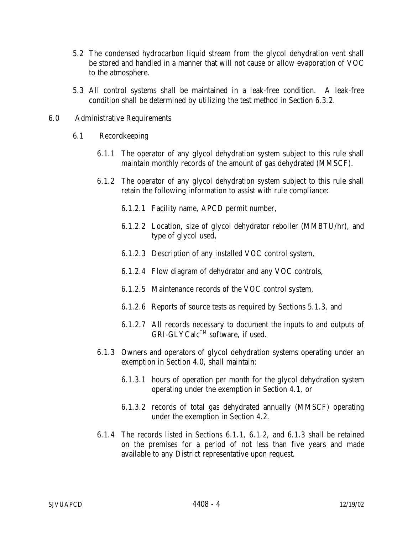- 5.2 The condensed hydrocarbon liquid stream from the glycol dehydration vent shall be stored and handled in a manner that will not cause or allow evaporation of VOC to the atmosphere.
- 5.3 All control systems shall be maintained in a leak-free condition. A leak-free condition shall be determined by utilizing the test method in Section 6.3.2.
- 6.0 Administrative Requirements
	- 6.1 Recordkeeping
		- 6.1.1 The operator of any glycol dehydration system subject to this rule shall maintain monthly records of the amount of gas dehydrated (MMSCF).
		- 6.1.2 The operator of any glycol dehydration system subject to this rule shall retain the following information to assist with rule compliance:
			- 6.1.2.1 Facility name, APCD permit number,
			- 6.1.2.2 Location, size of glycol dehydrator reboiler (MMBTU/hr), and type of glycol used,
			- 6.1.2.3 Description of any installed VOC control system,
			- 6.1.2.4 Flow diagram of dehydrator and any VOC controls,
			- 6.1.2.5 Maintenance records of the VOC control system,
			- 6.1.2.6 Reports of source tests as required by Sections 5.1.3, and
			- 6.1.2.7 All records necessary to document the inputs to and outputs of GRI-GLYCalc™ software. if used.
		- 6.1.3 Owners and operators of glycol dehydration systems operating under an exemption in Section 4.0, shall maintain:
			- 6.1.3.1 hours of operation per month for the glycol dehydration system operating under the exemption in Section 4.1, or
			- 6.1.3.2 records of total gas dehydrated annually (MMSCF) operating under the exemption in Section 4.2.
		- 6.1.4 The records listed in Sections 6.1.1, 6.1.2, and 6.1.3 shall be retained on the premises for a period of not less than five years and made available to any District representative upon request.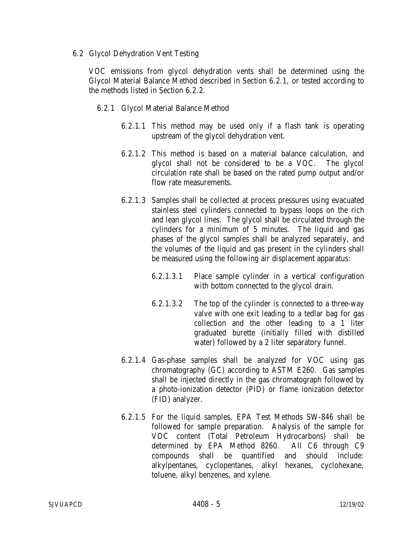6.2 Glycol Dehydration Vent Testing

VOC emissions from glycol dehydration vents shall be determined using the Glycol Material Balance Method described in Section 6.2.1, or tested according to the methods listed in Section 6.2.2.

- 6.2.1 Glycol Material Balance Method
	- 6.2.1.1 This method may be used only if a flash tank is operating upstream of the glycol dehydration vent.
	- 6.2.1.2 This method is based on a material balance calculation, and glycol shall not be considered to be a VOC. The glycol circulation rate shall be based on the rated pump output and/or flow rate measurements.
	- 6.2.1.3 Samples shall be collected at process pressures using evacuated stainless steel cylinders connected to bypass loops on the rich and lean glycol lines. The glycol shall be circulated through the cylinders for a minimum of 5 minutes. The liquid and gas phases of the glycol samples shall be analyzed separately, and the volumes of the liquid and gas present in the cylinders shall be measured using the following air displacement apparatus:
		- 6.2.1.3.1 Place sample cylinder in a vertical configuration with bottom connected to the glycol drain.
		- 6.2.1.3.2 The top of the cylinder is connected to a three-way valve with one exit leading to a tedlar bag for gas collection and the other leading to a 1 liter graduated burette (initially filled with distilled water) followed by a 2 liter separatory funnel.
	- 6.2.1.4 Gas-phase samples shall be analyzed for VOC using gas chromatography (GC) according to ASTM E260. Gas samples shall be injected directly in the gas chromatograph followed by a photo-ionization detector (PID) or flame ionization detector (FID) analyzer.
	- 6.2.1.5 For the liquid samples, EPA Test Methods SW-846 shall be followed for sample preparation. Analysis of the sample for VOC content (Total Petroleum Hydrocarbons) shall be determined by EPA Method 8260. All C6 through C9 compounds shall be quantified and should include: alkylpentanes, cyclopentanes, alkyl hexanes, cyclohexane, toluene, alkyl benzenes, and xylene.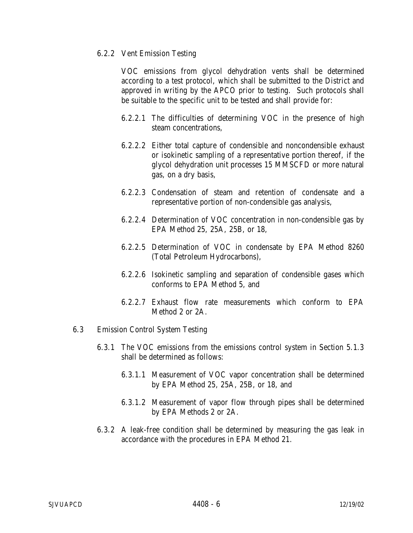## 6.2.2 Vent Emission Testing

VOC emissions from glycol dehydration vents shall be determined according to a test protocol, which shall be submitted to the District and approved in writing by the APCO prior to testing. Such protocols shall be suitable to the specific unit to be tested and shall provide for:

- 6.2.2.1 The difficulties of determining VOC in the presence of high steam concentrations,
- 6.2.2.2 Either total capture of condensible and noncondensible exhaust or isokinetic sampling of a representative portion thereof, if the glycol dehydration unit processes 15 MMSCFD or more natural gas, on a dry basis,
- 6.2.2.3 Condensation of steam and retention of condensate and a representative portion of non-condensible gas analysis,
- 6.2.2.4 Determination of VOC concentration in non-condensible gas by EPA Method 25, 25A, 25B, or 18,
- 6.2.2.5 Determination of VOC in condensate by EPA Method 8260 (Total Petroleum Hydrocarbons),
- 6.2.2.6 Isokinetic sampling and separation of condensible gases which conforms to EPA Method 5, and
- 6.2.2.7 Exhaust flow rate measurements which conform to EPA Method 2 or 2A.
- 6.3 Emission Control System Testing
	- 6.3.1 The VOC emissions from the emissions control system in Section 5.1.3 shall be determined as follows:
		- 6.3.1.1 Measurement of VOC vapor concentration shall be determined by EPA Method 25, 25A, 25B, or 18, and
		- 6.3.1.2 Measurement of vapor flow through pipes shall be determined by EPA Methods 2 or 2A.
	- 6.3.2 A leak-free condition shall be determined by measuring the gas leak in accordance with the procedures in EPA Method 21.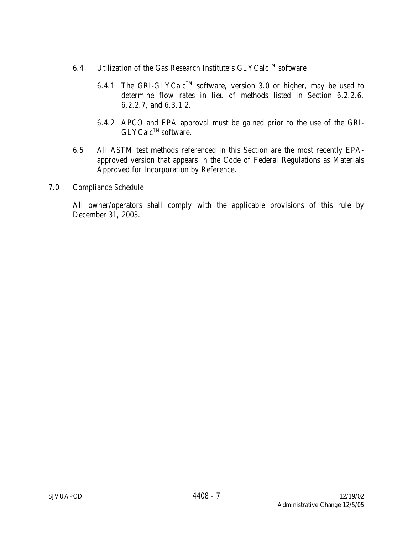- 6.4 Utilization of the Gas Research Institute's  $GLYCalc^{TM}$  software
	- 6.4.1 The GRI-GLYCalc<sup>TM</sup> software, version 3.0 or higher, may be used to determine flow rates in lieu of methods listed in Section 6.2.2.6, 6.2.2.7, and 6.3.1.2.
	- 6.4.2 APCO and EPA approval must be gained prior to the use of the GRI- $GLYCalc^{TM}$  software.
- 6.5 All ASTM test methods referenced in this Section are the most recently EPAapproved version that appears in the Code of Federal Regulations as Materials Approved for Incorporation by Reference.
- 7.0 Compliance Schedule

All owner/operators shall comply with the applicable provisions of this rule by December 31, 2003.